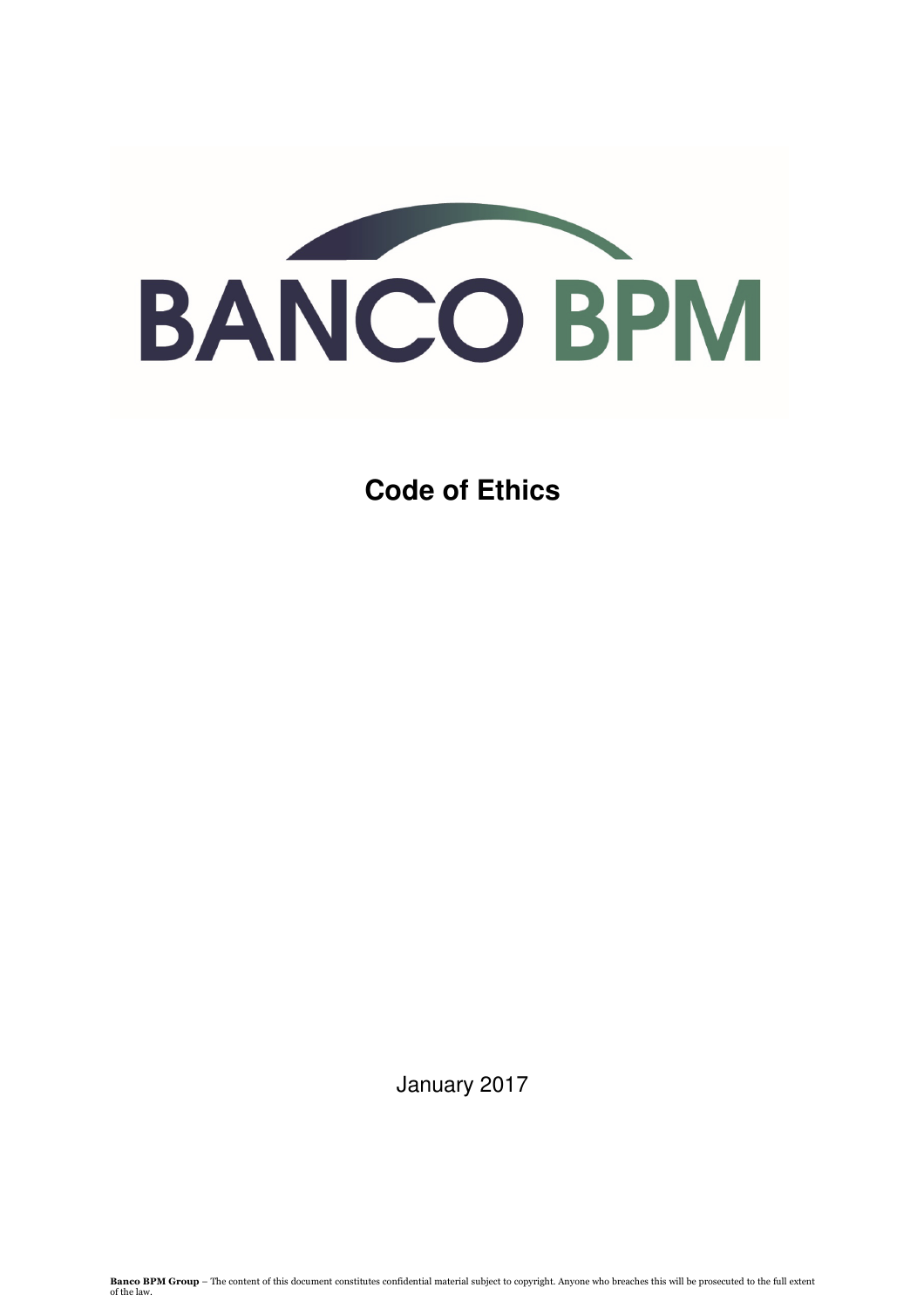

**Code of Ethics**

January 2017

**Banco BPM Group** – The content of this document constitutes confidential material subject to copyright. Anyone who breaches this will be prosecuted to the full extent of the law.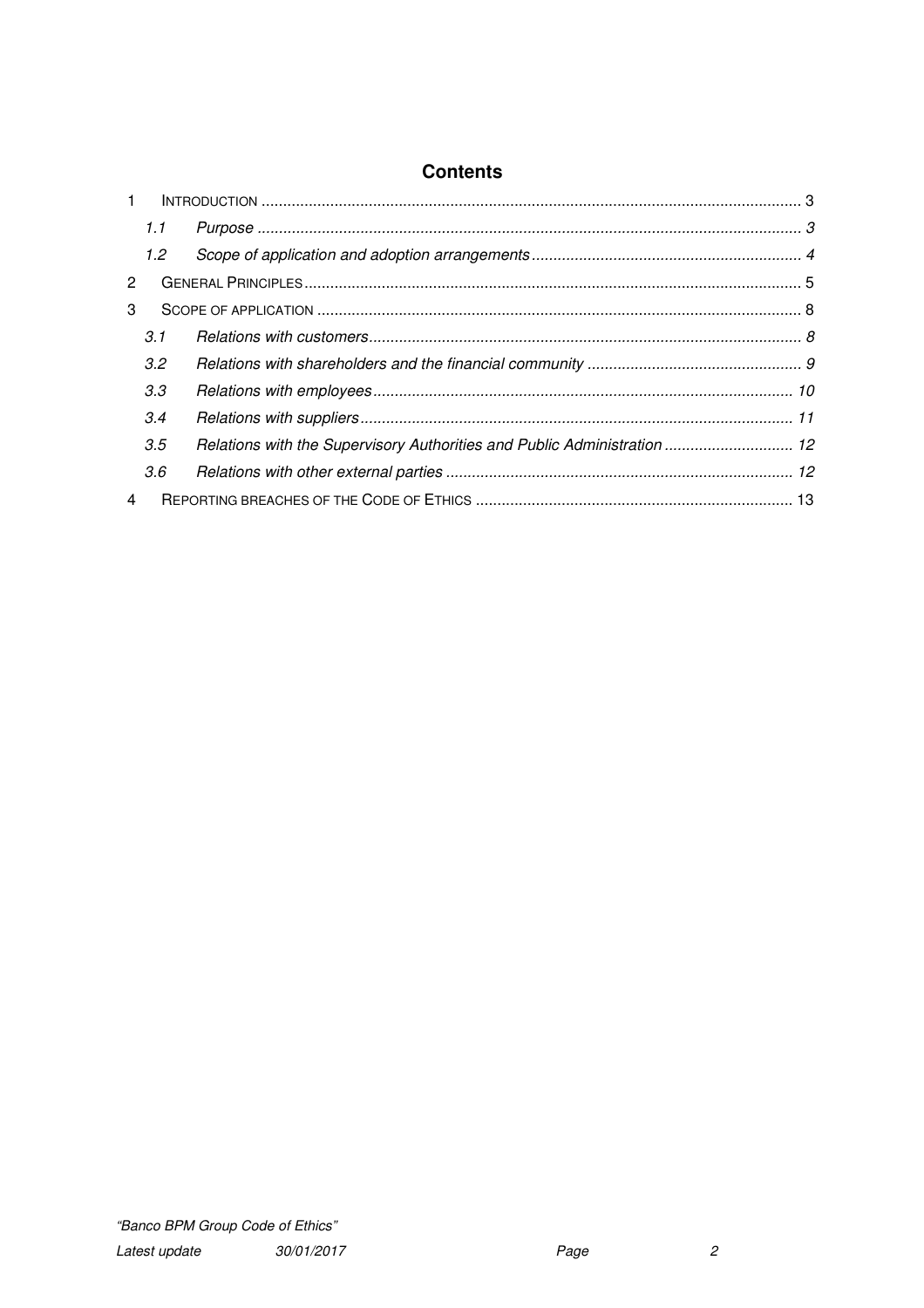| $\mathbf{1}$   |               |                                                                          |  |
|----------------|---------------|--------------------------------------------------------------------------|--|
|                | 1.1           |                                                                          |  |
|                | $1.2^{\circ}$ |                                                                          |  |
| 2              |               |                                                                          |  |
| 3              |               |                                                                          |  |
|                | 3.1           |                                                                          |  |
|                | 3.2           |                                                                          |  |
|                | 3.3           |                                                                          |  |
|                | 3.4           |                                                                          |  |
|                | 3.5           | Relations with the Supervisory Authorities and Public Administration  12 |  |
|                | 3.6           |                                                                          |  |
| $\overline{4}$ |               |                                                                          |  |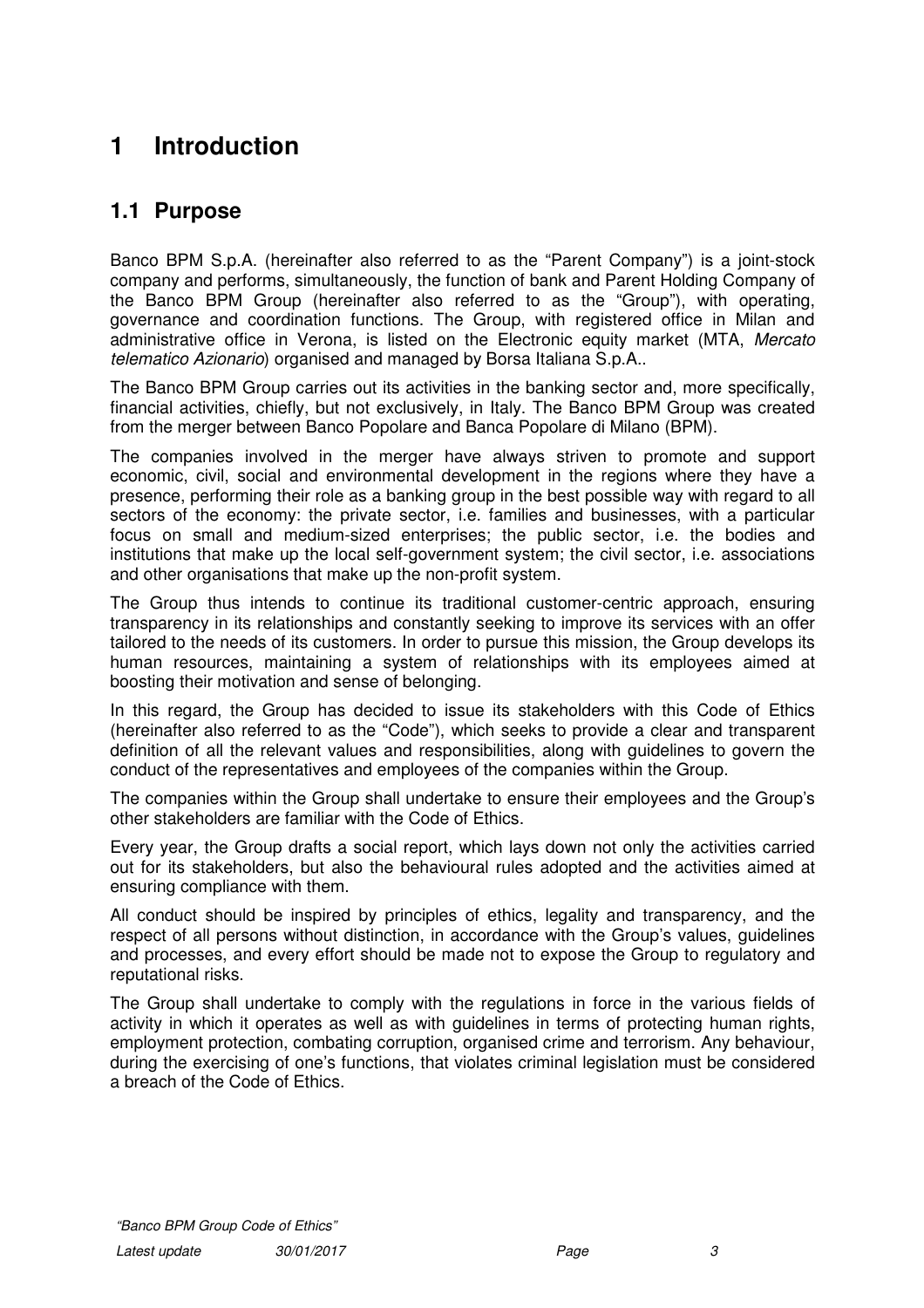# **1 Introduction**

# **1.1 Purpose**

Banco BPM S.p.A. (hereinafter also referred to as the "Parent Company") is a joint-stock company and performs, simultaneously, the function of bank and Parent Holding Company of the Banco BPM Group (hereinafter also referred to as the "Group"), with operating, governance and coordination functions. The Group, with registered office in Milan and administrative office in Verona, is listed on the Electronic equity market (MTA, Mercato telematico Azionario) organised and managed by Borsa Italiana S.p.A..

The Banco BPM Group carries out its activities in the banking sector and, more specifically, financial activities, chiefly, but not exclusively, in Italy. The Banco BPM Group was created from the merger between Banco Popolare and Banca Popolare di Milano (BPM).

The companies involved in the merger have always striven to promote and support economic, civil, social and environmental development in the regions where they have a presence, performing their role as a banking group in the best possible way with regard to all sectors of the economy: the private sector, i.e. families and businesses, with a particular focus on small and medium-sized enterprises; the public sector, i.e. the bodies and institutions that make up the local self-government system; the civil sector, i.e. associations and other organisations that make up the non-profit system.

The Group thus intends to continue its traditional customer-centric approach, ensuring transparency in its relationships and constantly seeking to improve its services with an offer tailored to the needs of its customers. In order to pursue this mission, the Group develops its human resources, maintaining a system of relationships with its employees aimed at boosting their motivation and sense of belonging.

In this regard, the Group has decided to issue its stakeholders with this Code of Ethics (hereinafter also referred to as the "Code"), which seeks to provide a clear and transparent definition of all the relevant values and responsibilities, along with guidelines to govern the conduct of the representatives and employees of the companies within the Group.

The companies within the Group shall undertake to ensure their employees and the Group's other stakeholders are familiar with the Code of Ethics.

Every year, the Group drafts a social report, which lays down not only the activities carried out for its stakeholders, but also the behavioural rules adopted and the activities aimed at ensuring compliance with them.

All conduct should be inspired by principles of ethics, legality and transparency, and the respect of all persons without distinction, in accordance with the Group's values, guidelines and processes, and every effort should be made not to expose the Group to regulatory and reputational risks.

The Group shall undertake to comply with the regulations in force in the various fields of activity in which it operates as well as with guidelines in terms of protecting human rights, employment protection, combating corruption, organised crime and terrorism. Any behaviour, during the exercising of one's functions, that violates criminal legislation must be considered a breach of the Code of Ethics.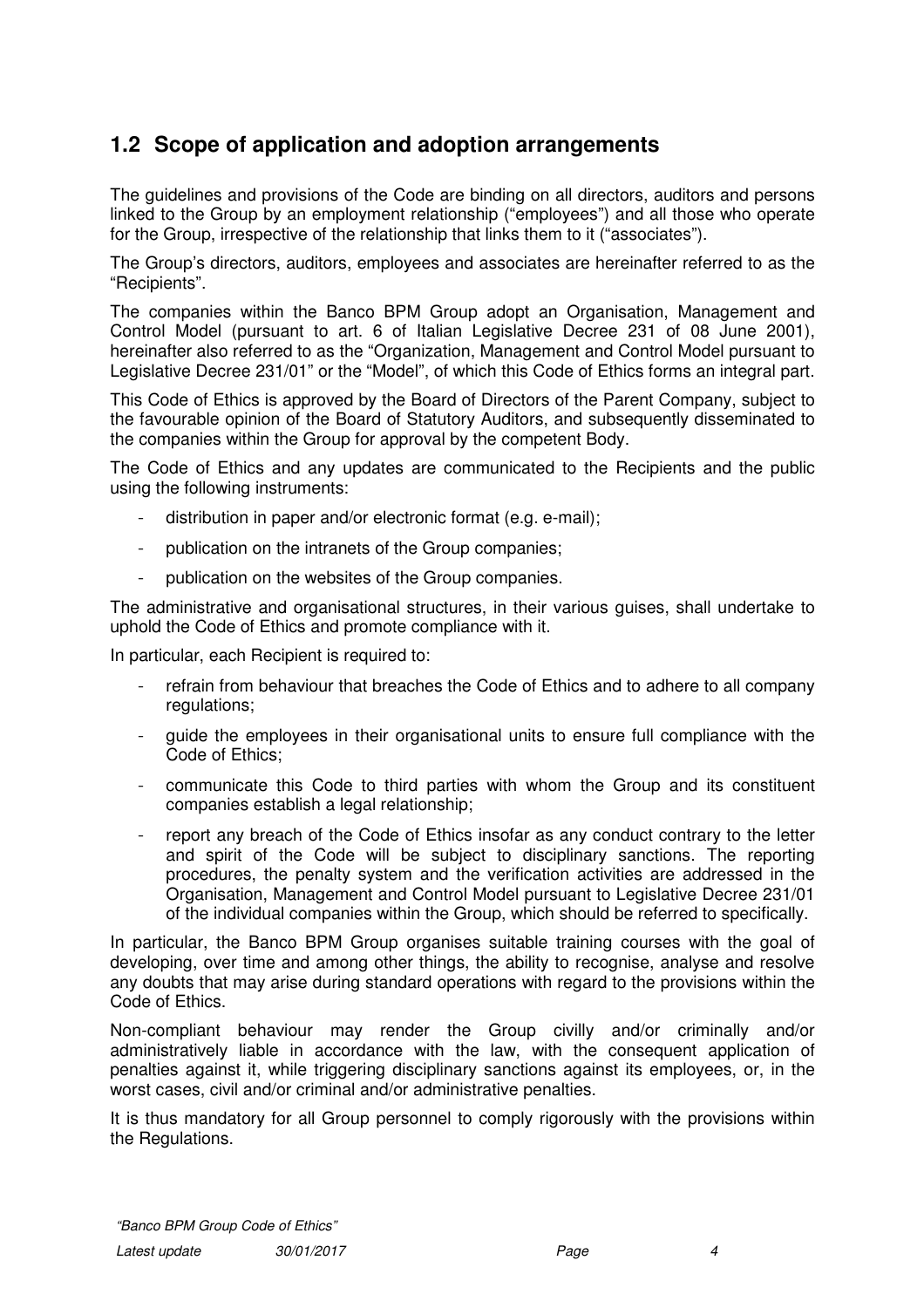# **1.2 Scope of application and adoption arrangements**

The guidelines and provisions of the Code are binding on all directors, auditors and persons linked to the Group by an employment relationship ("employees") and all those who operate for the Group, irrespective of the relationship that links them to it ("associates").

The Group's directors, auditors, employees and associates are hereinafter referred to as the "Recipients".

The companies within the Banco BPM Group adopt an Organisation, Management and Control Model (pursuant to art. 6 of Italian Legislative Decree 231 of 08 June 2001), hereinafter also referred to as the "Organization, Management and Control Model pursuant to Legislative Decree 231/01" or the "Model", of which this Code of Ethics forms an integral part.

This Code of Ethics is approved by the Board of Directors of the Parent Company, subject to the favourable opinion of the Board of Statutory Auditors, and subsequently disseminated to the companies within the Group for approval by the competent Body.

The Code of Ethics and any updates are communicated to the Recipients and the public using the following instruments:

- distribution in paper and/or electronic format (e.g. e-mail);
- publication on the intranets of the Group companies;
- publication on the websites of the Group companies.

The administrative and organisational structures, in their various guises, shall undertake to uphold the Code of Ethics and promote compliance with it.

In particular, each Recipient is required to:

- refrain from behaviour that breaches the Code of Ethics and to adhere to all company regulations;
- guide the employees in their organisational units to ensure full compliance with the Code of Ethics;
- communicate this Code to third parties with whom the Group and its constituent companies establish a legal relationship;
- report any breach of the Code of Ethics insofar as any conduct contrary to the letter and spirit of the Code will be subject to disciplinary sanctions. The reporting procedures, the penalty system and the verification activities are addressed in the Organisation, Management and Control Model pursuant to Legislative Decree 231/01 of the individual companies within the Group, which should be referred to specifically.

In particular, the Banco BPM Group organises suitable training courses with the goal of developing, over time and among other things, the ability to recognise, analyse and resolve any doubts that may arise during standard operations with regard to the provisions within the Code of Ethics.

Non-compliant behaviour may render the Group civilly and/or criminally and/or administratively liable in accordance with the law, with the consequent application of penalties against it, while triggering disciplinary sanctions against its employees, or, in the worst cases, civil and/or criminal and/or administrative penalties.

It is thus mandatory for all Group personnel to comply rigorously with the provisions within the Regulations.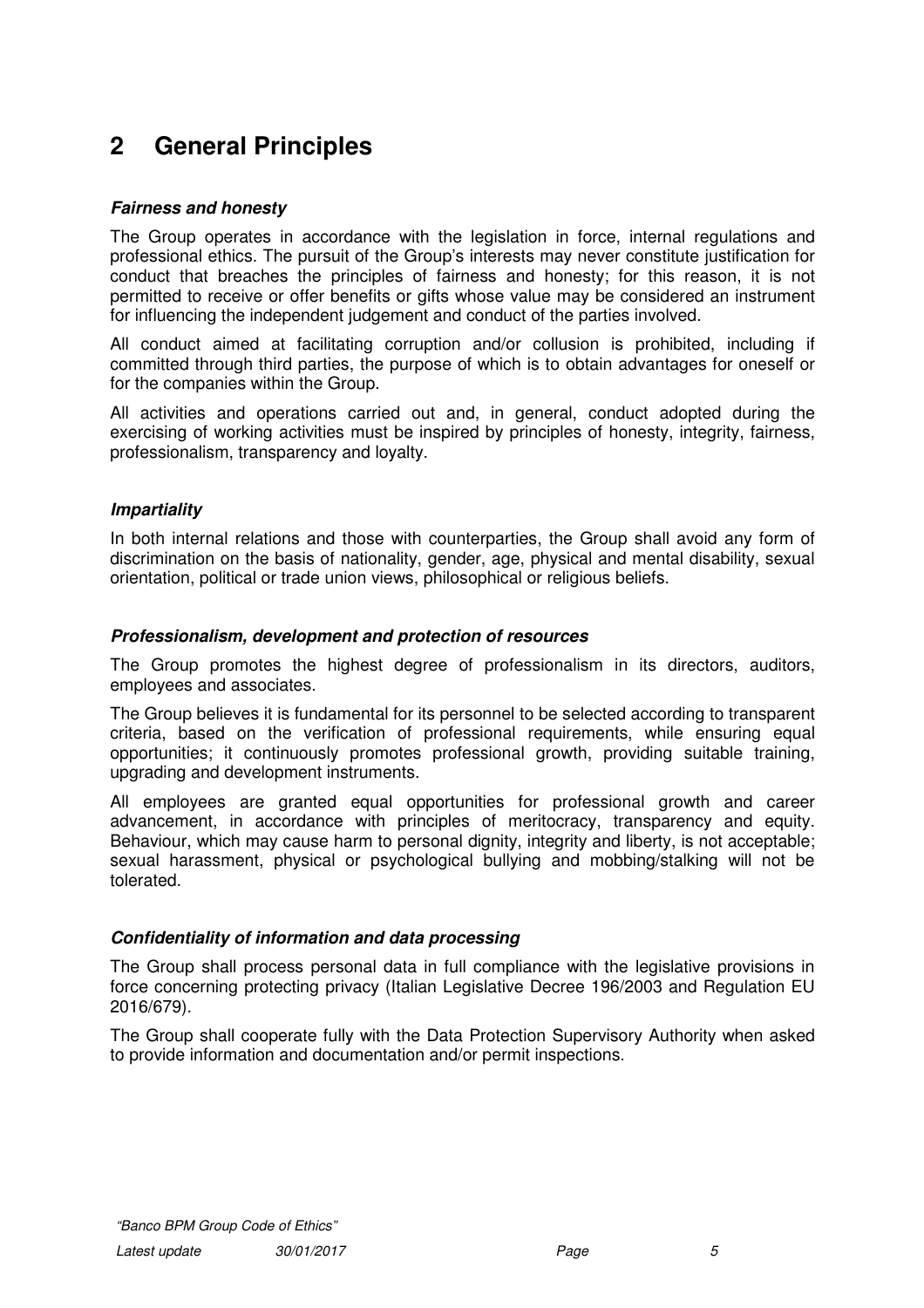# **2 General Principles**

# **Fairness and honesty**

The Group operates in accordance with the legislation in force, internal regulations and professional ethics. The pursuit of the Group's interests may never constitute justification for conduct that breaches the principles of fairness and honesty; for this reason, it is not permitted to receive or offer benefits or gifts whose value may be considered an instrument for influencing the independent judgement and conduct of the parties involved.

All conduct aimed at facilitating corruption and/or collusion is prohibited, including if committed through third parties, the purpose of which is to obtain advantages for oneself or for the companies within the Group.

All activities and operations carried out and, in general, conduct adopted during the exercising of working activities must be inspired by principles of honesty, integrity, fairness, professionalism, transparency and loyalty.

# **Impartiality**

In both internal relations and those with counterparties, the Group shall avoid any form of discrimination on the basis of nationality, gender, age, physical and mental disability, sexual orientation, political or trade union views, philosophical or religious beliefs.

## **Professionalism, development and protection of resources**

The Group promotes the highest degree of professionalism in its directors, auditors, employees and associates.

The Group believes it is fundamental for its personnel to be selected according to transparent criteria, based on the verification of professional requirements, while ensuring equal opportunities; it continuously promotes professional growth, providing suitable training, upgrading and development instruments.

All employees are granted equal opportunities for professional growth and career advancement, in accordance with principles of meritocracy, transparency and equity. Behaviour, which may cause harm to personal dignity, integrity and liberty, is not acceptable; sexual harassment, physical or psychological bullying and mobbing/stalking will not be tolerated.

# **Confidentiality of information and data processing**

The Group shall process personal data in full compliance with the legislative provisions in force concerning protecting privacy (Italian Legislative Decree 196/2003 and Regulation EU 2016/679).

The Group shall cooperate fully with the Data Protection Supervisory Authority when asked to provide information and documentation and/or permit inspections.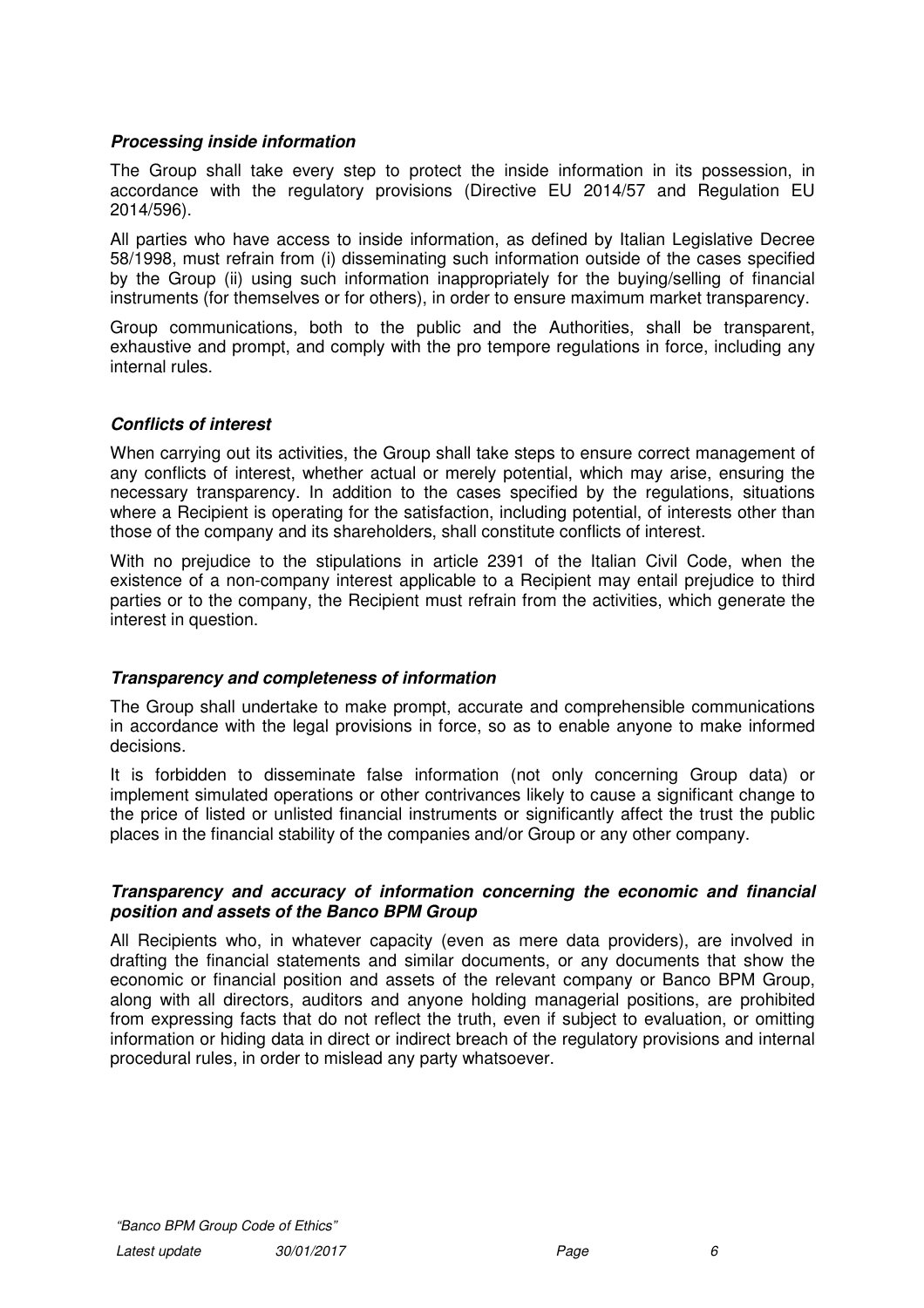## **Processing inside information**

The Group shall take every step to protect the inside information in its possession, in accordance with the regulatory provisions (Directive EU 2014/57 and Regulation EU 2014/596).

All parties who have access to inside information, as defined by Italian Legislative Decree 58/1998, must refrain from (i) disseminating such information outside of the cases specified by the Group (ii) using such information inappropriately for the buying/selling of financial instruments (for themselves or for others), in order to ensure maximum market transparency.

Group communications, both to the public and the Authorities, shall be transparent, exhaustive and prompt, and comply with the pro tempore regulations in force, including any internal rules.

## **Conflicts of interest**

When carrying out its activities, the Group shall take steps to ensure correct management of any conflicts of interest, whether actual or merely potential, which may arise, ensuring the necessary transparency. In addition to the cases specified by the regulations, situations where a Recipient is operating for the satisfaction, including potential, of interests other than those of the company and its shareholders, shall constitute conflicts of interest.

With no prejudice to the stipulations in article 2391 of the Italian Civil Code, when the existence of a non-company interest applicable to a Recipient may entail prejudice to third parties or to the company, the Recipient must refrain from the activities, which generate the interest in question.

#### **Transparency and completeness of information**

The Group shall undertake to make prompt, accurate and comprehensible communications in accordance with the legal provisions in force, so as to enable anyone to make informed decisions.

It is forbidden to disseminate false information (not only concerning Group data) or implement simulated operations or other contrivances likely to cause a significant change to the price of listed or unlisted financial instruments or significantly affect the trust the public places in the financial stability of the companies and/or Group or any other company.

#### **Transparency and accuracy of information concerning the economic and financial position and assets of the Banco BPM Group**

All Recipients who, in whatever capacity (even as mere data providers), are involved in drafting the financial statements and similar documents, or any documents that show the economic or financial position and assets of the relevant company or Banco BPM Group, along with all directors, auditors and anyone holding managerial positions, are prohibited from expressing facts that do not reflect the truth, even if subject to evaluation, or omitting information or hiding data in direct or indirect breach of the regulatory provisions and internal procedural rules, in order to mislead any party whatsoever.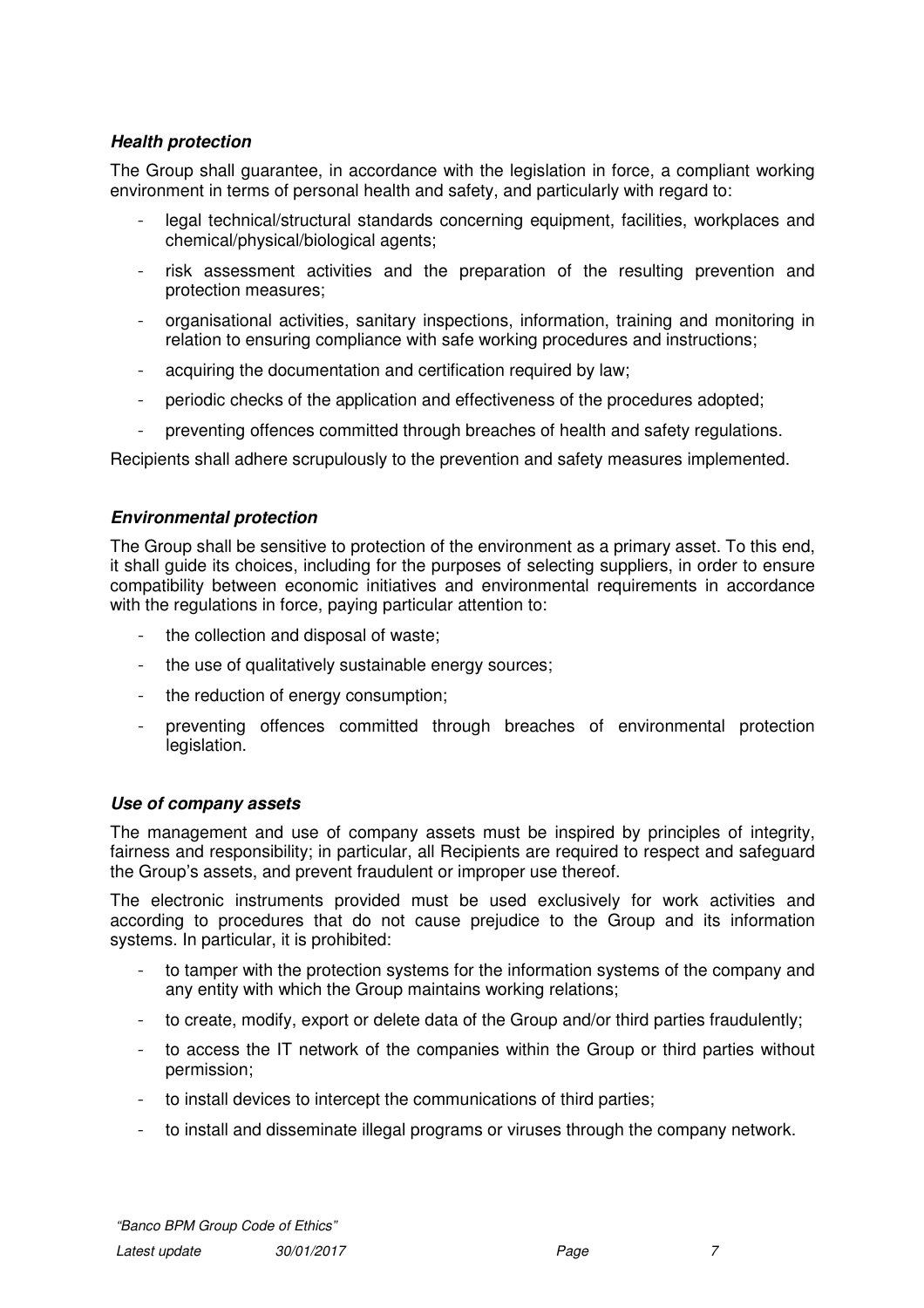# **Health protection**

The Group shall guarantee, in accordance with the legislation in force, a compliant working environment in terms of personal health and safety, and particularly with regard to:

- legal technical/structural standards concerning equipment, facilities, workplaces and chemical/physical/biological agents;
- risk assessment activities and the preparation of the resulting prevention and protection measures;
- organisational activities, sanitary inspections, information, training and monitoring in relation to ensuring compliance with safe working procedures and instructions;
- acquiring the documentation and certification required by law;
- periodic checks of the application and effectiveness of the procedures adopted;
- preventing offences committed through breaches of health and safety regulations.

Recipients shall adhere scrupulously to the prevention and safety measures implemented.

# **Environmental protection**

The Group shall be sensitive to protection of the environment as a primary asset. To this end, it shall guide its choices, including for the purposes of selecting suppliers, in order to ensure compatibility between economic initiatives and environmental requirements in accordance with the regulations in force, paying particular attention to:

- the collection and disposal of waste;
- the use of qualitatively sustainable energy sources;
- the reduction of energy consumption;
- preventing offences committed through breaches of environmental protection legislation.

#### **Use of company assets**

The management and use of company assets must be inspired by principles of integrity, fairness and responsibility; in particular, all Recipients are required to respect and safeguard the Group's assets, and prevent fraudulent or improper use thereof.

The electronic instruments provided must be used exclusively for work activities and according to procedures that do not cause prejudice to the Group and its information systems. In particular, it is prohibited:

- to tamper with the protection systems for the information systems of the company and any entity with which the Group maintains working relations;
- to create, modify, export or delete data of the Group and/or third parties fraudulently;
- to access the IT network of the companies within the Group or third parties without permission;
- to install devices to intercept the communications of third parties;
- to install and disseminate illegal programs or viruses through the company network.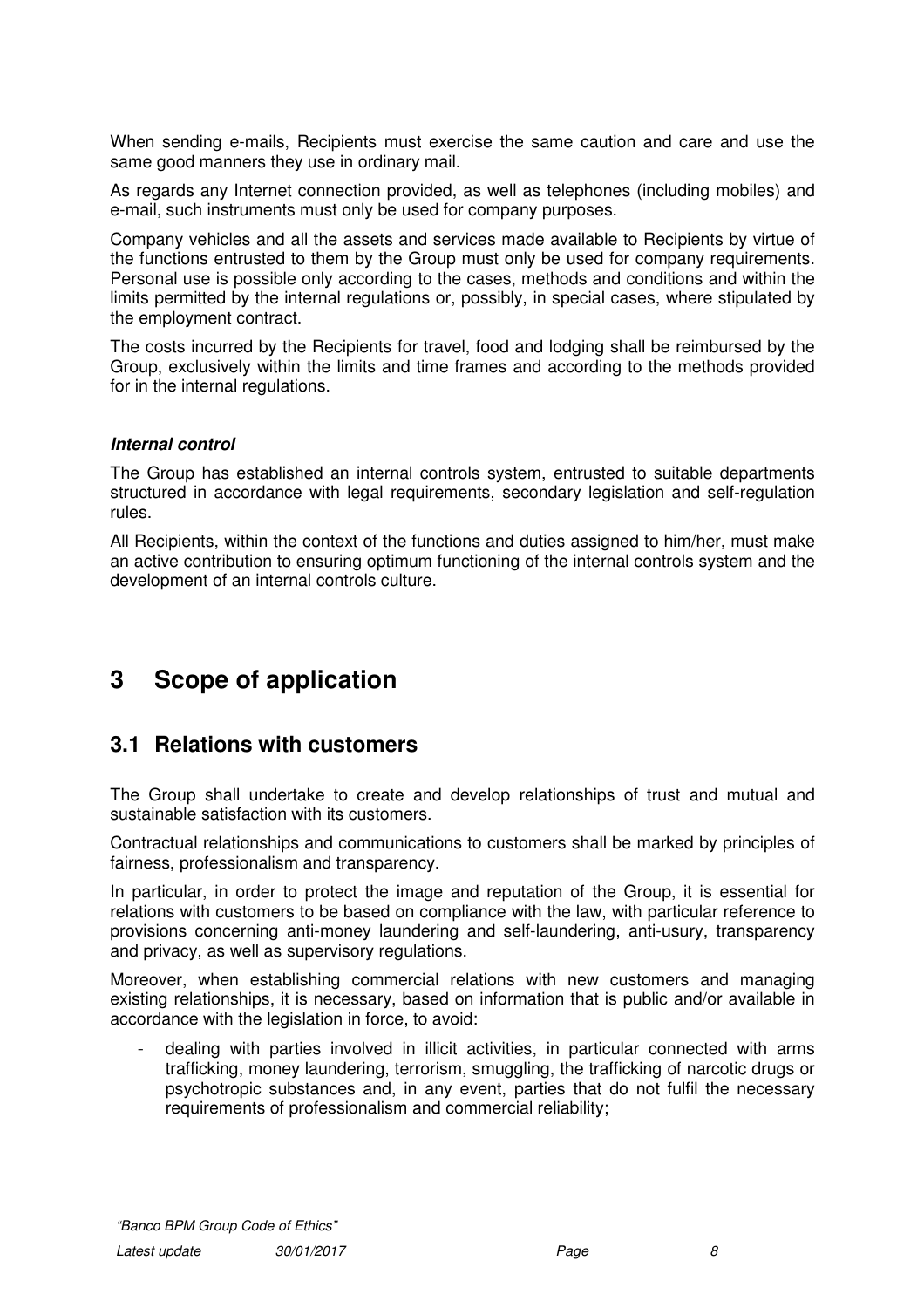When sending e-mails, Recipients must exercise the same caution and care and use the same good manners they use in ordinary mail.

As regards any Internet connection provided, as well as telephones (including mobiles) and e-mail, such instruments must only be used for company purposes.

Company vehicles and all the assets and services made available to Recipients by virtue of the functions entrusted to them by the Group must only be used for company requirements. Personal use is possible only according to the cases, methods and conditions and within the limits permitted by the internal regulations or, possibly, in special cases, where stipulated by the employment contract.

The costs incurred by the Recipients for travel, food and lodging shall be reimbursed by the Group, exclusively within the limits and time frames and according to the methods provided for in the internal regulations.

#### **Internal control**

The Group has established an internal controls system, entrusted to suitable departments structured in accordance with legal requirements, secondary legislation and self-regulation rules.

All Recipients, within the context of the functions and duties assigned to him/her, must make an active contribution to ensuring optimum functioning of the internal controls system and the development of an internal controls culture.

# **3 Scope of application**

# **3.1 Relations with customers**

The Group shall undertake to create and develop relationships of trust and mutual and sustainable satisfaction with its customers.

Contractual relationships and communications to customers shall be marked by principles of fairness, professionalism and transparency.

In particular, in order to protect the image and reputation of the Group, it is essential for relations with customers to be based on compliance with the law, with particular reference to provisions concerning anti-money laundering and self-laundering, anti-usury, transparency and privacy, as well as supervisory regulations.

Moreover, when establishing commercial relations with new customers and managing existing relationships, it is necessary, based on information that is public and/or available in accordance with the legislation in force, to avoid:

- dealing with parties involved in illicit activities, in particular connected with arms trafficking, money laundering, terrorism, smuggling, the trafficking of narcotic drugs or psychotropic substances and, in any event, parties that do not fulfil the necessary requirements of professionalism and commercial reliability;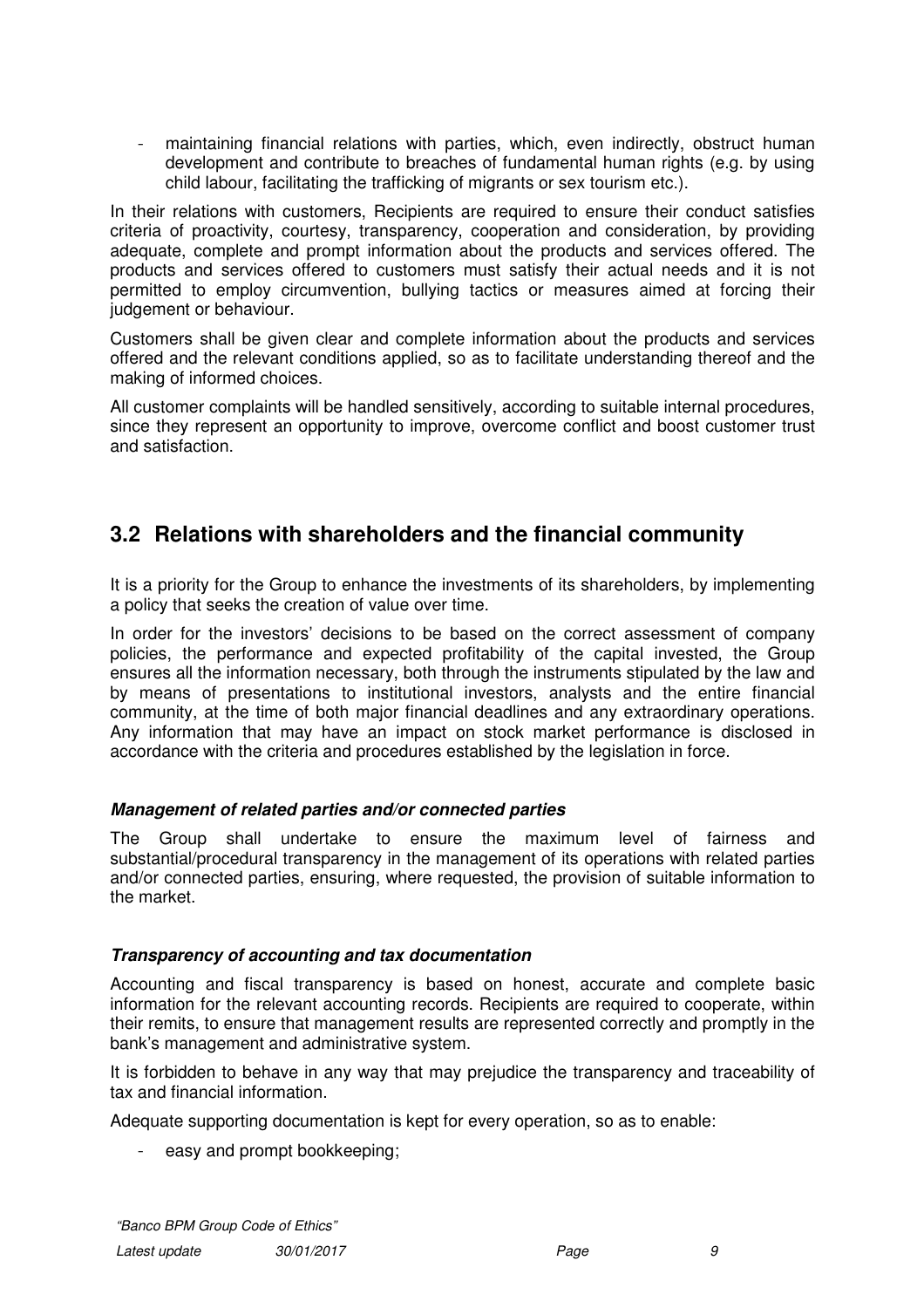maintaining financial relations with parties, which, even indirectly, obstruct human development and contribute to breaches of fundamental human rights (e.g. by using child labour, facilitating the trafficking of migrants or sex tourism etc.).

In their relations with customers, Recipients are required to ensure their conduct satisfies criteria of proactivity, courtesy, transparency, cooperation and consideration, by providing adequate, complete and prompt information about the products and services offered. The products and services offered to customers must satisfy their actual needs and it is not permitted to employ circumvention, bullying tactics or measures aimed at forcing their judgement or behaviour.

Customers shall be given clear and complete information about the products and services offered and the relevant conditions applied, so as to facilitate understanding thereof and the making of informed choices.

All customer complaints will be handled sensitively, according to suitable internal procedures, since they represent an opportunity to improve, overcome conflict and boost customer trust and satisfaction.

# **3.2 Relations with shareholders and the financial community**

It is a priority for the Group to enhance the investments of its shareholders, by implementing a policy that seeks the creation of value over time.

In order for the investors' decisions to be based on the correct assessment of company policies, the performance and expected profitability of the capital invested, the Group ensures all the information necessary, both through the instruments stipulated by the law and by means of presentations to institutional investors, analysts and the entire financial community, at the time of both major financial deadlines and any extraordinary operations. Any information that may have an impact on stock market performance is disclosed in accordance with the criteria and procedures established by the legislation in force.

# **Management of related parties and/or connected parties**

The Group shall undertake to ensure the maximum level of fairness and substantial/procedural transparency in the management of its operations with related parties and/or connected parties, ensuring, where requested, the provision of suitable information to the market.

#### **Transparency of accounting and tax documentation**

Accounting and fiscal transparency is based on honest, accurate and complete basic information for the relevant accounting records. Recipients are required to cooperate, within their remits, to ensure that management results are represented correctly and promptly in the bank's management and administrative system.

It is forbidden to behave in any way that may prejudice the transparency and traceability of tax and financial information.

Adequate supporting documentation is kept for every operation, so as to enable:

- easy and prompt bookkeeping;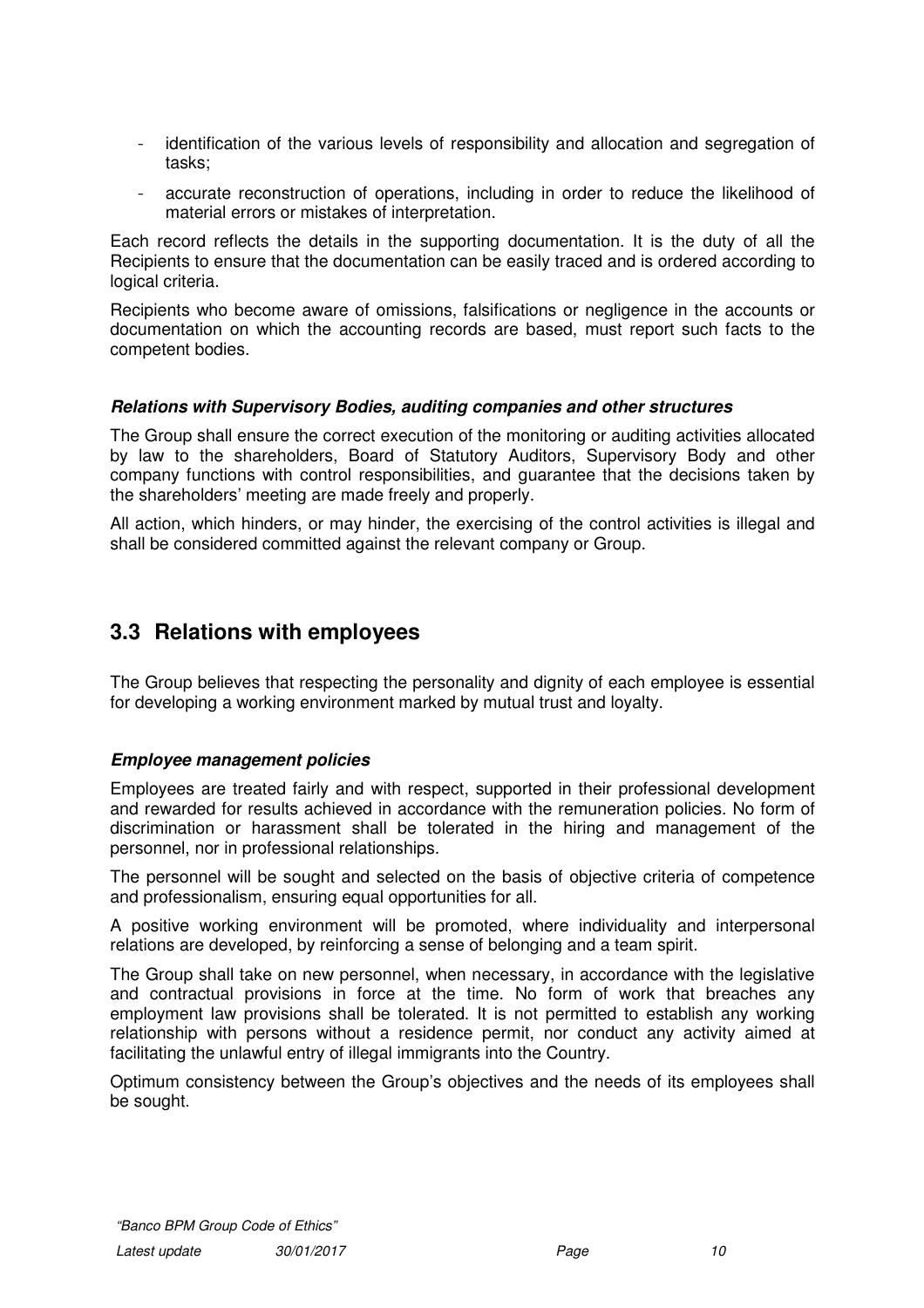- identification of the various levels of responsibility and allocation and segregation of tasks;
- accurate reconstruction of operations, including in order to reduce the likelihood of material errors or mistakes of interpretation.

Each record reflects the details in the supporting documentation. It is the duty of all the Recipients to ensure that the documentation can be easily traced and is ordered according to logical criteria.

Recipients who become aware of omissions, falsifications or negligence in the accounts or documentation on which the accounting records are based, must report such facts to the competent bodies.

## **Relations with Supervisory Bodies, auditing companies and other structures**

The Group shall ensure the correct execution of the monitoring or auditing activities allocated by law to the shareholders, Board of Statutory Auditors, Supervisory Body and other company functions with control responsibilities, and guarantee that the decisions taken by the shareholders' meeting are made freely and properly.

All action, which hinders, or may hinder, the exercising of the control activities is illegal and shall be considered committed against the relevant company or Group.

# **3.3 Relations with employees**

The Group believes that respecting the personality and dignity of each employee is essential for developing a working environment marked by mutual trust and loyalty.

# **Employee management policies**

Employees are treated fairly and with respect, supported in their professional development and rewarded for results achieved in accordance with the remuneration policies. No form of discrimination or harassment shall be tolerated in the hiring and management of the personnel, nor in professional relationships.

The personnel will be sought and selected on the basis of objective criteria of competence and professionalism, ensuring equal opportunities for all.

A positive working environment will be promoted, where individuality and interpersonal relations are developed, by reinforcing a sense of belonging and a team spirit.

The Group shall take on new personnel, when necessary, in accordance with the legislative and contractual provisions in force at the time. No form of work that breaches any employment law provisions shall be tolerated. It is not permitted to establish any working relationship with persons without a residence permit, nor conduct any activity aimed at facilitating the unlawful entry of illegal immigrants into the Country.

Optimum consistency between the Group's objectives and the needs of its employees shall be sought.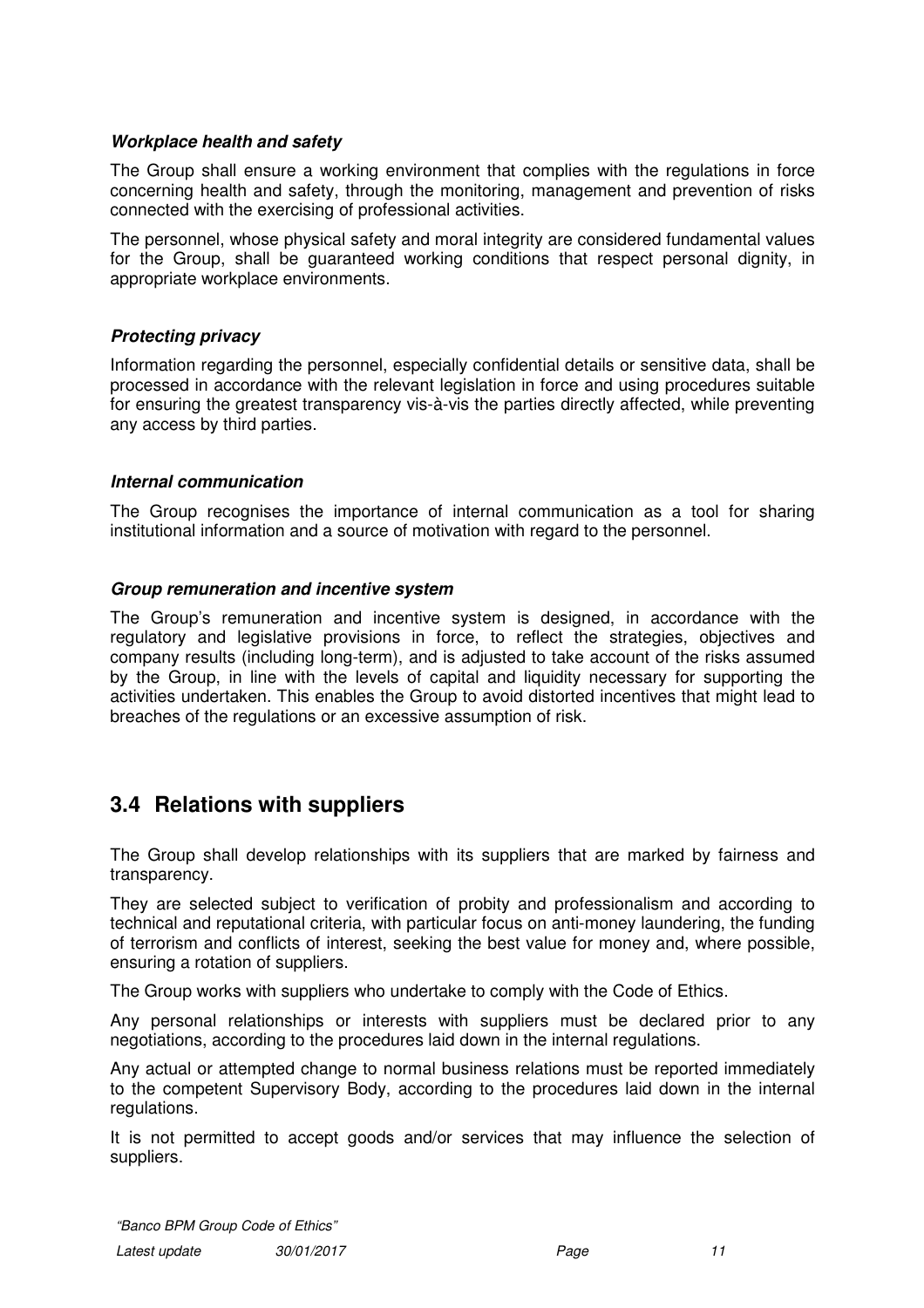## **Workplace health and safety**

The Group shall ensure a working environment that complies with the regulations in force concerning health and safety, through the monitoring, management and prevention of risks connected with the exercising of professional activities.

The personnel, whose physical safety and moral integrity are considered fundamental values for the Group, shall be guaranteed working conditions that respect personal dignity, in appropriate workplace environments.

## **Protecting privacy**

Information regarding the personnel, especially confidential details or sensitive data, shall be processed in accordance with the relevant legislation in force and using procedures suitable for ensuring the greatest transparency vis-à-vis the parties directly affected, while preventing any access by third parties.

## **Internal communication**

The Group recognises the importance of internal communication as a tool for sharing institutional information and a source of motivation with regard to the personnel.

## **Group remuneration and incentive system**

The Group's remuneration and incentive system is designed, in accordance with the regulatory and legislative provisions in force, to reflect the strategies, objectives and company results (including long-term), and is adjusted to take account of the risks assumed by the Group, in line with the levels of capital and liquidity necessary for supporting the activities undertaken. This enables the Group to avoid distorted incentives that might lead to breaches of the regulations or an excessive assumption of risk.

# **3.4 Relations with suppliers**

The Group shall develop relationships with its suppliers that are marked by fairness and transparency.

They are selected subject to verification of probity and professionalism and according to technical and reputational criteria, with particular focus on anti-money laundering, the funding of terrorism and conflicts of interest, seeking the best value for money and, where possible, ensuring a rotation of suppliers.

The Group works with suppliers who undertake to comply with the Code of Ethics.

Any personal relationships or interests with suppliers must be declared prior to any negotiations, according to the procedures laid down in the internal regulations.

Any actual or attempted change to normal business relations must be reported immediately to the competent Supervisory Body, according to the procedures laid down in the internal regulations.

It is not permitted to accept goods and/or services that may influence the selection of suppliers.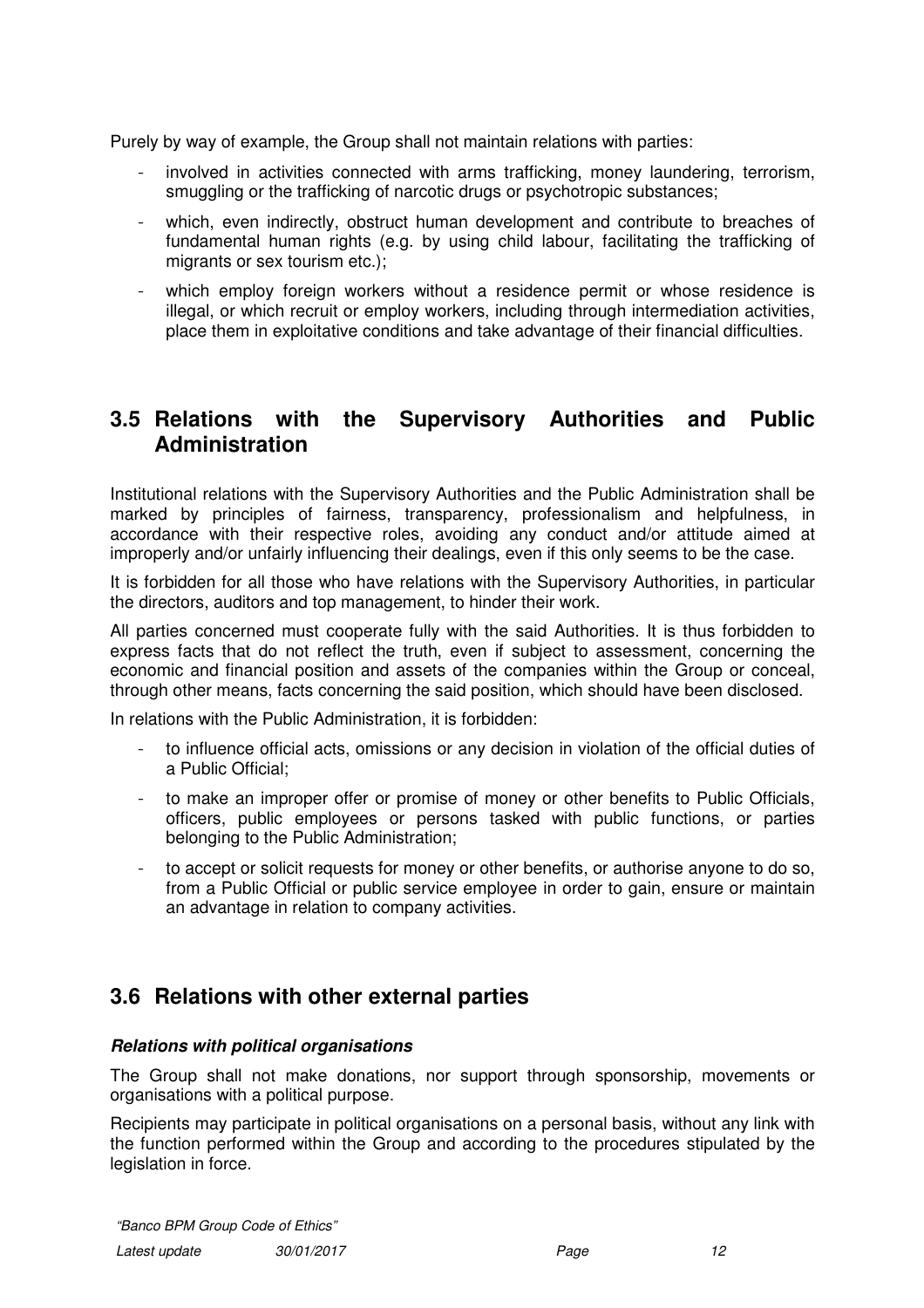Purely by way of example, the Group shall not maintain relations with parties:

- involved in activities connected with arms trafficking, money laundering, terrorism, smuggling or the trafficking of narcotic drugs or psychotropic substances;
- which, even indirectly, obstruct human development and contribute to breaches of fundamental human rights (e.g. by using child labour, facilitating the trafficking of migrants or sex tourism etc.):
- which employ foreign workers without a residence permit or whose residence is illegal, or which recruit or employ workers, including through intermediation activities, place them in exploitative conditions and take advantage of their financial difficulties.

# **3.5 Relations with the Supervisory Authorities and Public Administration**

Institutional relations with the Supervisory Authorities and the Public Administration shall be marked by principles of fairness, transparency, professionalism and helpfulness, in accordance with their respective roles, avoiding any conduct and/or attitude aimed at improperly and/or unfairly influencing their dealings, even if this only seems to be the case.

It is forbidden for all those who have relations with the Supervisory Authorities, in particular the directors, auditors and top management, to hinder their work.

All parties concerned must cooperate fully with the said Authorities. It is thus forbidden to express facts that do not reflect the truth, even if subject to assessment, concerning the economic and financial position and assets of the companies within the Group or conceal, through other means, facts concerning the said position, which should have been disclosed.

In relations with the Public Administration, it is forbidden:

- to influence official acts, omissions or any decision in violation of the official duties of a Public Official;
- to make an improper offer or promise of money or other benefits to Public Officials, officers, public employees or persons tasked with public functions, or parties belonging to the Public Administration;
- to accept or solicit requests for money or other benefits, or authorise anyone to do so, from a Public Official or public service employee in order to gain, ensure or maintain an advantage in relation to company activities.

# **3.6 Relations with other external parties**

#### **Relations with political organisations**

The Group shall not make donations, nor support through sponsorship, movements or organisations with a political purpose.

Recipients may participate in political organisations on a personal basis, without any link with the function performed within the Group and according to the procedures stipulated by the legislation in force.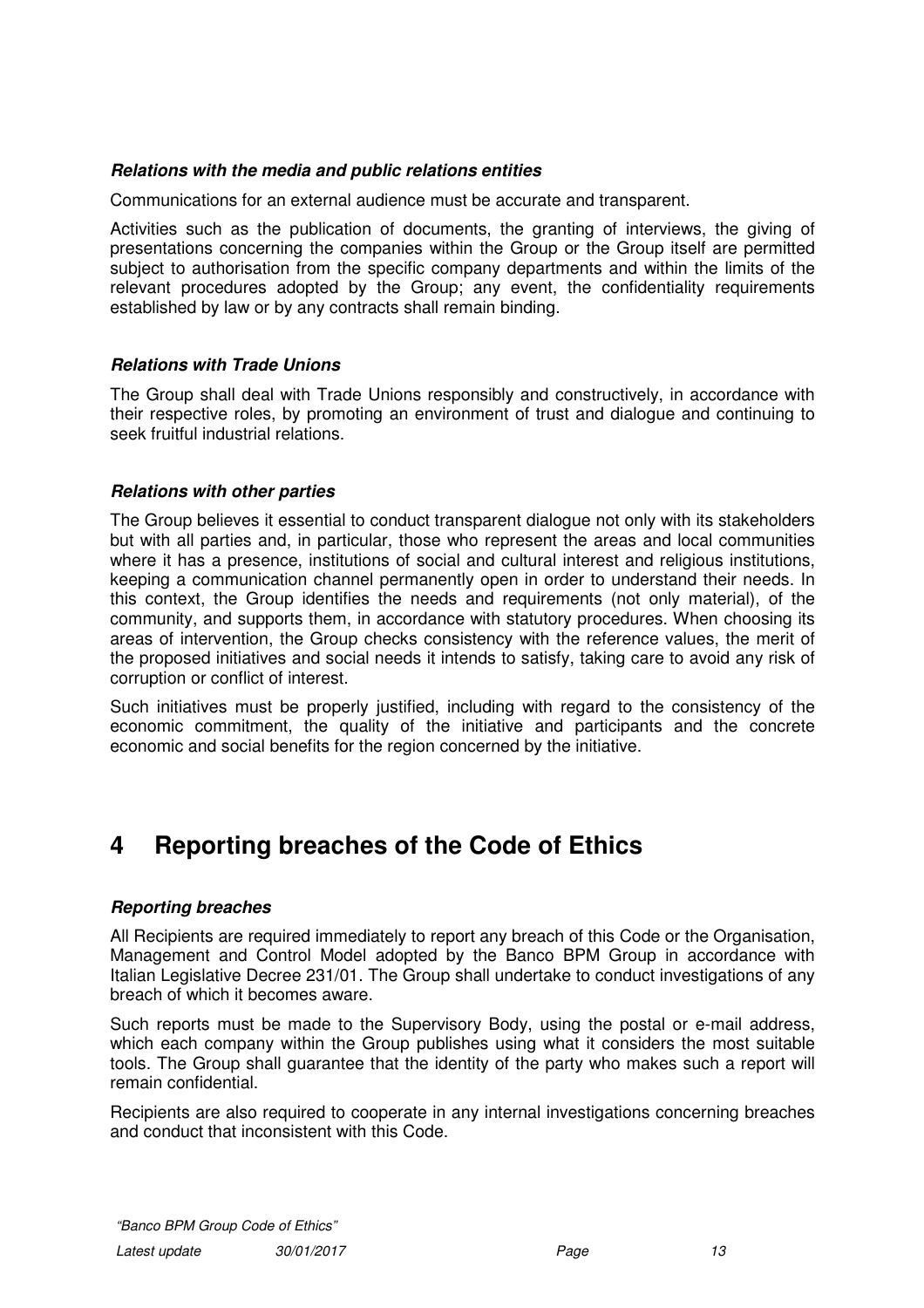### **Relations with the media and public relations entities**

Communications for an external audience must be accurate and transparent.

Activities such as the publication of documents, the granting of interviews, the giving of presentations concerning the companies within the Group or the Group itself are permitted subject to authorisation from the specific company departments and within the limits of the relevant procedures adopted by the Group; any event, the confidentiality requirements established by law or by any contracts shall remain binding.

#### **Relations with Trade Unions**

The Group shall deal with Trade Unions responsibly and constructively, in accordance with their respective roles, by promoting an environment of trust and dialogue and continuing to seek fruitful industrial relations.

#### **Relations with other parties**

The Group believes it essential to conduct transparent dialogue not only with its stakeholders but with all parties and, in particular, those who represent the areas and local communities where it has a presence, institutions of social and cultural interest and religious institutions, keeping a communication channel permanently open in order to understand their needs. In this context, the Group identifies the needs and requirements (not only material), of the community, and supports them, in accordance with statutory procedures. When choosing its areas of intervention, the Group checks consistency with the reference values, the merit of the proposed initiatives and social needs it intends to satisfy, taking care to avoid any risk of corruption or conflict of interest.

Such initiatives must be properly justified, including with regard to the consistency of the economic commitment, the quality of the initiative and participants and the concrete economic and social benefits for the region concerned by the initiative.

# **4 Reporting breaches of the Code of Ethics**

#### **Reporting breaches**

All Recipients are required immediately to report any breach of this Code or the Organisation, Management and Control Model adopted by the Banco BPM Group in accordance with Italian Legislative Decree 231/01. The Group shall undertake to conduct investigations of any breach of which it becomes aware.

Such reports must be made to the Supervisory Body, using the postal or e-mail address, which each company within the Group publishes using what it considers the most suitable tools. The Group shall guarantee that the identity of the party who makes such a report will remain confidential.

Recipients are also required to cooperate in any internal investigations concerning breaches and conduct that inconsistent with this Code.